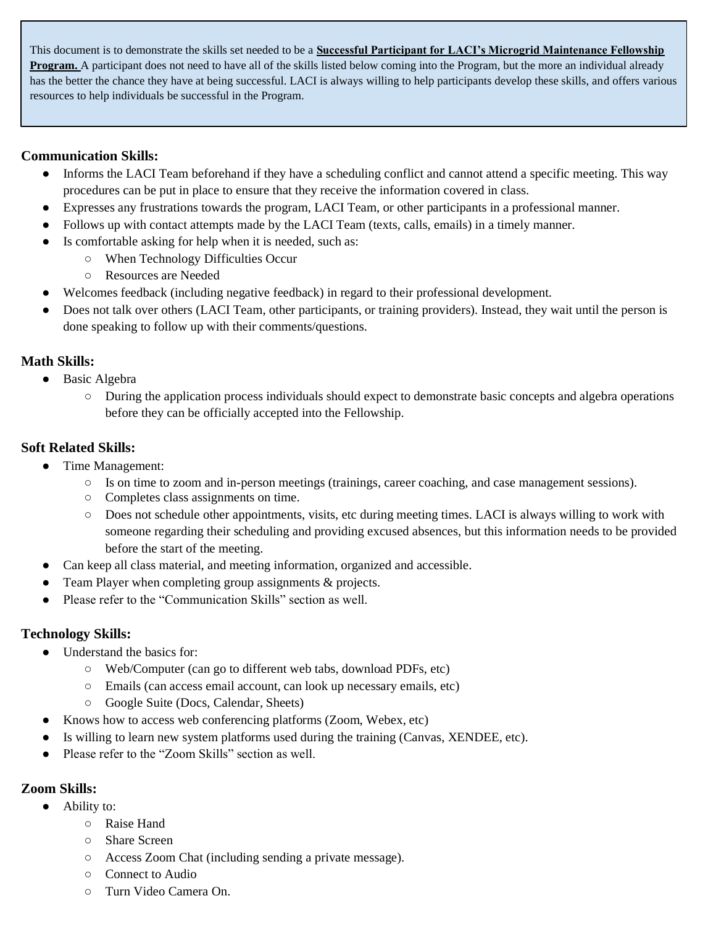This document is to demonstrate the skills set needed to be a **Successful Participant for LACI's Microgrid Maintenance Fellowship Program.** A participant does not need to have all of the skills listed below coming into the Program, but the more an individual already has the better the chance they have at being successful. LACI is always willing to help participants develop these skills, and offers various resources to help individuals be successful in the Program.

## **Communication Skills:**

- Informs the LACI Team beforehand if they have a scheduling conflict and cannot attend a specific meeting. This way procedures can be put in place to ensure that they receive the information covered in class.
- Expresses any frustrations towards the program, LACI Team, or other participants in a professional manner.
- Follows up with contact attempts made by the LACI Team (texts, calls, emails) in a timely manner.
- Is comfortable asking for help when it is needed, such as:
	- When Technology Difficulties Occur
	- Resources are Needed
- Welcomes feedback (including negative feedback) in regard to their professional development.
- Does not talk over others (LACI Team, other participants, or training providers). Instead, they wait until the person is done speaking to follow up with their comments/questions.

### **Math Skills:**

- Basic Algebra
	- During the application process individuals should expect to demonstrate basic concepts and algebra operations before they can be officially accepted into the Fellowship.

### **Soft Related Skills:**

- Time Management:
	- Is on time to zoom and in-person meetings (trainings, career coaching, and case management sessions).
	- Completes class assignments on time.
	- Does not schedule other appointments, visits, etc during meeting times. LACI is always willing to work with someone regarding their scheduling and providing excused absences, but this information needs to be provided before the start of the meeting.
- Can keep all class material, and meeting information, organized and accessible.
- Team Player when completing group assignments & projects.
- Please refer to the "Communication Skills" section as well.

# **Technology Skills:**

- Understand the basics for:
	- Web/Computer (can go to different web tabs, download PDFs, etc)
	- Emails (can access email account, can look up necessary emails, etc)
	- Google Suite (Docs, Calendar, Sheets)
- Knows how to access web conferencing platforms (Zoom, Webex, etc)
- Is willing to learn new system platforms used during the training (Canvas, XENDEE, etc).
- Please refer to the "Zoom Skills" section as well.

# **Zoom Skills:**

- Ability to:
	- Raise Hand
	- Share Screen
	- Access Zoom Chat (including sending a private message).
	- Connect to Audio
	- Turn Video Camera On.